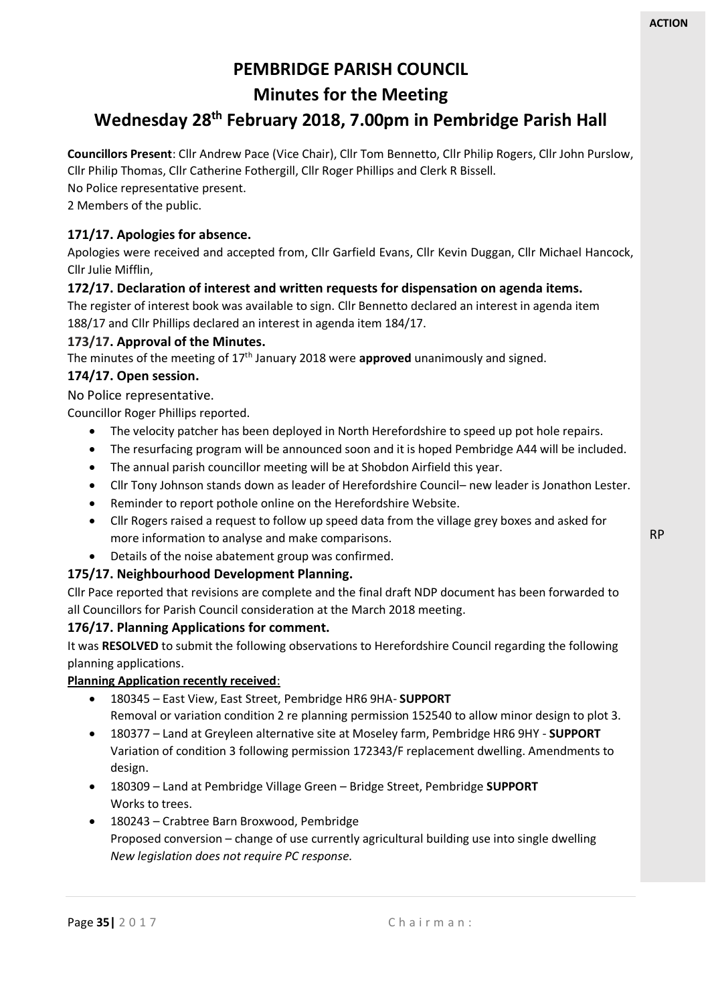# **PEMBRIDGE PARISH COUNCIL**

### **Minutes for the Meeting**

## **Wednesday 28th February 2018, 7.00pm in Pembridge Parish Hall**

**Councillors Present**: Cllr Andrew Pace (Vice Chair), Cllr Tom Bennetto, Cllr Philip Rogers, Cllr John Purslow, Cllr Philip Thomas, Cllr Catherine Fothergill, Cllr Roger Phillips and Clerk R Bissell.

No Police representative present.

2 Members of the public.

#### **171/17. Apologies for absence.**

Apologies were received and accepted from, Cllr Garfield Evans, Cllr Kevin Duggan, Cllr Michael Hancock, Cllr Julie Mifflin,

#### **172/17. Declaration of interest and written requests for dispensation on agenda items.**

The register of interest book was available to sign. Cllr Bennetto declared an interest in agenda item 188/17 and Cllr Phillips declared an interest in agenda item 184/17.

#### **173/17. Approval of the Minutes.**

The minutes of the meeting of 17th January 2018 were **approved** unanimously and signed.

#### **174/17. Open session.**

No Police representative.

Councillor Roger Phillips reported.

- The velocity patcher has been deployed in North Herefordshire to speed up pot hole repairs.
- The resurfacing program will be announced soon and it is hoped Pembridge A44 will be included.
- The annual parish councillor meeting will be at Shobdon Airfield this year.
- Cllr Tony Johnson stands down as leader of Herefordshire Council– new leader is Jonathon Lester.
- Reminder to report pothole online on the Herefordshire Website.
- Cllr Rogers raised a request to follow up speed data from the village grey boxes and asked for more information to analyse and make comparisons.
- Details of the noise abatement group was confirmed.

#### **175/17. Neighbourhood Development Planning.**

Cllr Pace reported that revisions are complete and the final draft NDP document has been forwarded to all Councillors for Parish Council consideration at the March 2018 meeting.

#### **176/17. Planning Applications for comment.**

It was **RESOLVED** to submit the following observations to Herefordshire Council regarding the following planning applications.

#### **Planning Application recently received**:

- 180345 East View, East Street, Pembridge HR6 9HA- **SUPPORT** Removal or variation condition 2 re planning permission 152540 to allow minor design to plot 3.
- 180377 Land at Greyleen alternative site at Moseley farm, Pembridge HR6 9HY **SUPPORT** Variation of condition 3 following permission 172343/F replacement dwelling. Amendments to design.
- 180309 Land at Pembridge Village Green Bridge Street, Pembridge **SUPPORT**  Works to trees.
- 180243 Crabtree Barn Broxwood, Pembridge Proposed conversion – change of use currently agricultural building use into single dwelling *New legislation does not require PC response.*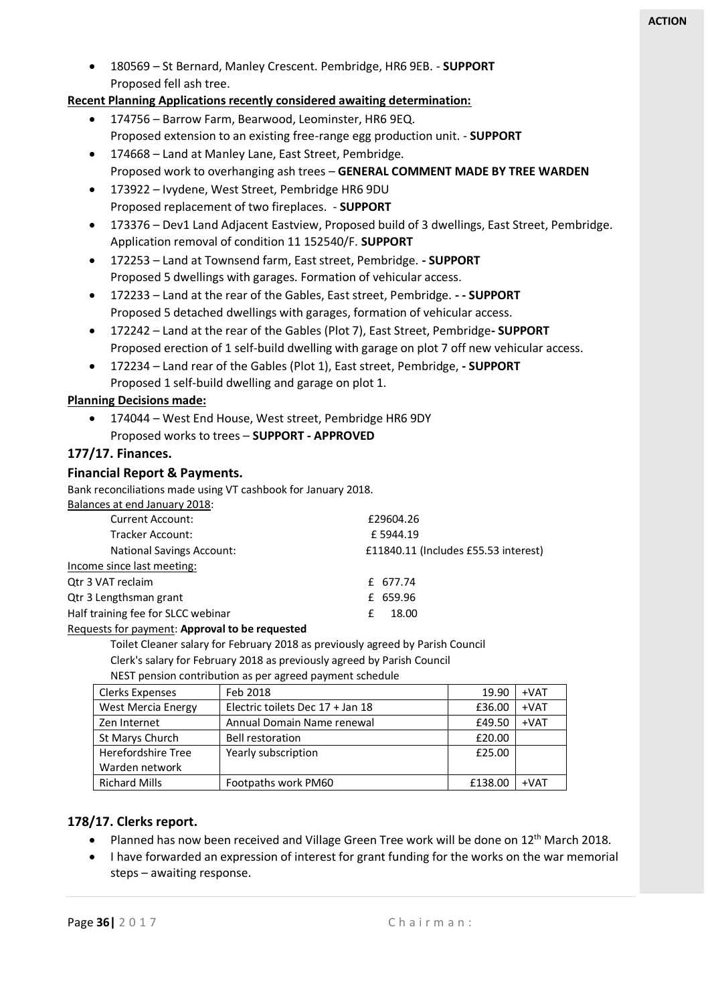• 180569 – St Bernard, Manley Crescent. Pembridge, HR6 9EB. - **SUPPORT** Proposed fell ash tree.

#### **Recent Planning Applications recently considered awaiting determination:**

- 174756 Barrow Farm, Bearwood, Leominster, HR6 9EQ. Proposed extension to an existing free-range egg production unit. - **SUPPORT**
- 174668 Land at Manley Lane, East Street, Pembridge. Proposed work to overhanging ash trees – **GENERAL COMMENT MADE BY TREE WARDEN**
- 173922 Ivydene, West Street, Pembridge HR6 9DU Proposed replacement of two fireplaces. - **SUPPORT**
- 173376 Dev1 Land Adjacent Eastview, Proposed build of 3 dwellings, East Street, Pembridge. Application removal of condition 11 152540/F. **SUPPORT**
- 172253 Land at Townsend farm, East street, Pembridge. **- SUPPORT** Proposed 5 dwellings with garages. Formation of vehicular access.
- 172233 Land at the rear of the Gables, East street, Pembridge. **- - SUPPORT** Proposed 5 detached dwellings with garages, formation of vehicular access.
- 172242 Land at the rear of the Gables (Plot 7), East Street, Pembridge**- SUPPORT** Proposed erection of 1 self-build dwelling with garage on plot 7 off new vehicular access.
- 172234 Land rear of the Gables (Plot 1), East street, Pembridge, **- SUPPORT** Proposed 1 self-build dwelling and garage on plot 1.

#### **Planning Decisions made:**

• 174044 – West End House, West street, Pembridge HR6 9DY Proposed works to trees – **SUPPORT - APPROVED**

#### **177/17. Finances.**

#### **Financial Report & Payments.**

Bank reconciliations made using VT cashbook for January 2018.

Balances at end January 2018:

| Current Account:                   | £29604.26                            |
|------------------------------------|--------------------------------------|
| Tracker Account:                   | £5944.19                             |
| <b>National Savings Account:</b>   | £11840.11 (Includes £55.53 interest) |
| Income since last meeting:         |                                      |
| Qtr 3 VAT reclaim                  | £ 677.74                             |
| Qtr 3 Lengthsman grant             | £ 659.96                             |
| Half training fee for SLCC webinar | 18.00                                |
|                                    |                                      |

#### Requests for payment: **Approval to be requested**

Toilet Cleaner salary for February 2018 as previously agreed by Parish Council

Clerk's salary for February 2018 as previously agreed by Parish Council

NEST pension contribution as per agreed payment schedule

| <b>Clerks Expenses</b>    | Feb 2018                         | 19.90   | $+VAT$ |
|---------------------------|----------------------------------|---------|--------|
| <b>West Mercia Energy</b> | Electric toilets Dec 17 + Jan 18 | £36.00  | $+VAT$ |
| Zen Internet              | Annual Domain Name renewal       | £49.50  | $+VAT$ |
| St Marys Church           | <b>Bell restoration</b>          | £20.00  |        |
| Herefordshire Tree        | Yearly subscription              | £25.00  |        |
| Warden network            |                                  |         |        |
| <b>Richard Mills</b>      | Footpaths work PM60              | £138.00 | +VAT   |

#### **178/17. Clerks report.**

- Planned has now been received and Village Green Tree work will be done on 12<sup>th</sup> March 2018.
- I have forwarded an expression of interest for grant funding for the works on the war memorial steps – awaiting response.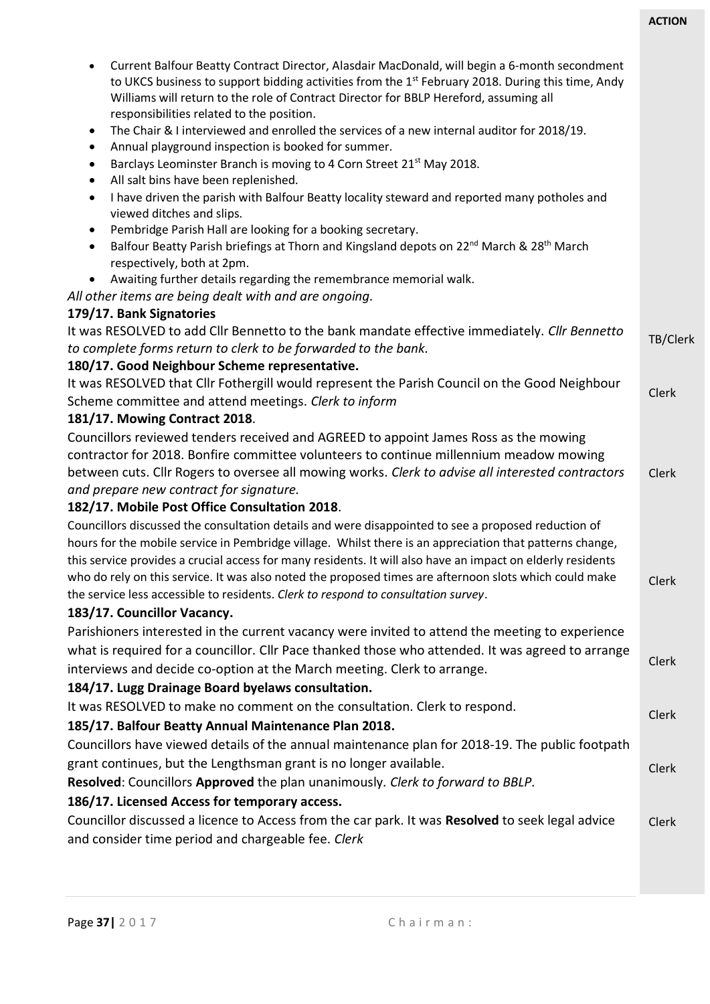| Current Balfour Beatty Contract Director, Alasdair MacDonald, will begin a 6-month secondment<br>$\bullet$<br>to UKCS business to support bidding activities from the $1st$ February 2018. During this time, Andy<br>Williams will return to the role of Contract Director for BBLP Hereford, assuming all<br>responsibilities related to the position.<br>The Chair & I interviewed and enrolled the services of a new internal auditor for 2018/19.<br>$\bullet$<br>Annual playground inspection is booked for summer.<br>$\bullet$<br>Barclays Leominster Branch is moving to 4 Corn Street 21 <sup>st</sup> May 2018.<br>٠<br>All salt bins have been replenished.<br>$\bullet$<br>I have driven the parish with Balfour Beatty locality steward and reported many potholes and<br>$\bullet$<br>viewed ditches and slips.<br>Pembridge Parish Hall are looking for a booking secretary.<br>$\bullet$<br>Balfour Beatty Parish briefings at Thorn and Kingsland depots on 22 <sup>nd</sup> March & 28 <sup>th</sup> March<br>$\bullet$<br>respectively, both at 2pm.<br>Awaiting further details regarding the remembrance memorial walk.<br>$\bullet$<br>All other items are being dealt with and are ongoing. |          |
|--------------------------------------------------------------------------------------------------------------------------------------------------------------------------------------------------------------------------------------------------------------------------------------------------------------------------------------------------------------------------------------------------------------------------------------------------------------------------------------------------------------------------------------------------------------------------------------------------------------------------------------------------------------------------------------------------------------------------------------------------------------------------------------------------------------------------------------------------------------------------------------------------------------------------------------------------------------------------------------------------------------------------------------------------------------------------------------------------------------------------------------------------------------------------------------------------------------------|----------|
| 179/17. Bank Signatories                                                                                                                                                                                                                                                                                                                                                                                                                                                                                                                                                                                                                                                                                                                                                                                                                                                                                                                                                                                                                                                                                                                                                                                           |          |
| It was RESOLVED to add Cllr Bennetto to the bank mandate effective immediately. Cllr Bennetto<br>to complete forms return to clerk to be forwarded to the bank.                                                                                                                                                                                                                                                                                                                                                                                                                                                                                                                                                                                                                                                                                                                                                                                                                                                                                                                                                                                                                                                    | TB/Clerk |
| 180/17. Good Neighbour Scheme representative.<br>It was RESOLVED that Cllr Fothergill would represent the Parish Council on the Good Neighbour<br>Scheme committee and attend meetings. Clerk to inform                                                                                                                                                                                                                                                                                                                                                                                                                                                                                                                                                                                                                                                                                                                                                                                                                                                                                                                                                                                                            | Clerk    |
| 181/17. Mowing Contract 2018.                                                                                                                                                                                                                                                                                                                                                                                                                                                                                                                                                                                                                                                                                                                                                                                                                                                                                                                                                                                                                                                                                                                                                                                      |          |
| Councillors reviewed tenders received and AGREED to appoint James Ross as the mowing<br>contractor for 2018. Bonfire committee volunteers to continue millennium meadow mowing<br>between cuts. Cllr Rogers to oversee all mowing works. Clerk to advise all interested contractors<br>and prepare new contract for signature.<br>182/17. Mobile Post Office Consultation 2018.                                                                                                                                                                                                                                                                                                                                                                                                                                                                                                                                                                                                                                                                                                                                                                                                                                    | Clerk    |
| Councillors discussed the consultation details and were disappointed to see a proposed reduction of<br>hours for the mobile service in Pembridge village. Whilst there is an appreciation that patterns change,<br>this service provides a crucial access for many residents. It will also have an impact on elderly residents<br>who do rely on this service. It was also noted the proposed times are afternoon slots which could make<br>the service less accessible to residents. Clerk to respond to consultation survey.<br>183/17. Councillor Vacancy.                                                                                                                                                                                                                                                                                                                                                                                                                                                                                                                                                                                                                                                      | Clerk    |
| Parishioners interested in the current vacancy were invited to attend the meeting to experience                                                                                                                                                                                                                                                                                                                                                                                                                                                                                                                                                                                                                                                                                                                                                                                                                                                                                                                                                                                                                                                                                                                    |          |
| what is required for a councillor. Cllr Pace thanked those who attended. It was agreed to arrange<br>interviews and decide co-option at the March meeting. Clerk to arrange.<br>184/17. Lugg Drainage Board byelaws consultation.                                                                                                                                                                                                                                                                                                                                                                                                                                                                                                                                                                                                                                                                                                                                                                                                                                                                                                                                                                                  | Clerk    |
| It was RESOLVED to make no comment on the consultation. Clerk to respond.                                                                                                                                                                                                                                                                                                                                                                                                                                                                                                                                                                                                                                                                                                                                                                                                                                                                                                                                                                                                                                                                                                                                          |          |
| 185/17. Balfour Beatty Annual Maintenance Plan 2018.                                                                                                                                                                                                                                                                                                                                                                                                                                                                                                                                                                                                                                                                                                                                                                                                                                                                                                                                                                                                                                                                                                                                                               | Clerk    |
| Councillors have viewed details of the annual maintenance plan for 2018-19. The public footpath<br>grant continues, but the Lengthsman grant is no longer available.<br>Resolved: Councillors Approved the plan unanimously. Clerk to forward to BBLP.<br>186/17. Licensed Access for temporary access.                                                                                                                                                                                                                                                                                                                                                                                                                                                                                                                                                                                                                                                                                                                                                                                                                                                                                                            | Clerk    |
| Councillor discussed a licence to Access from the car park. It was Resolved to seek legal advice<br>and consider time period and chargeable fee. Clerk                                                                                                                                                                                                                                                                                                                                                                                                                                                                                                                                                                                                                                                                                                                                                                                                                                                                                                                                                                                                                                                             | Clerk    |
|                                                                                                                                                                                                                                                                                                                                                                                                                                                                                                                                                                                                                                                                                                                                                                                                                                                                                                                                                                                                                                                                                                                                                                                                                    |          |